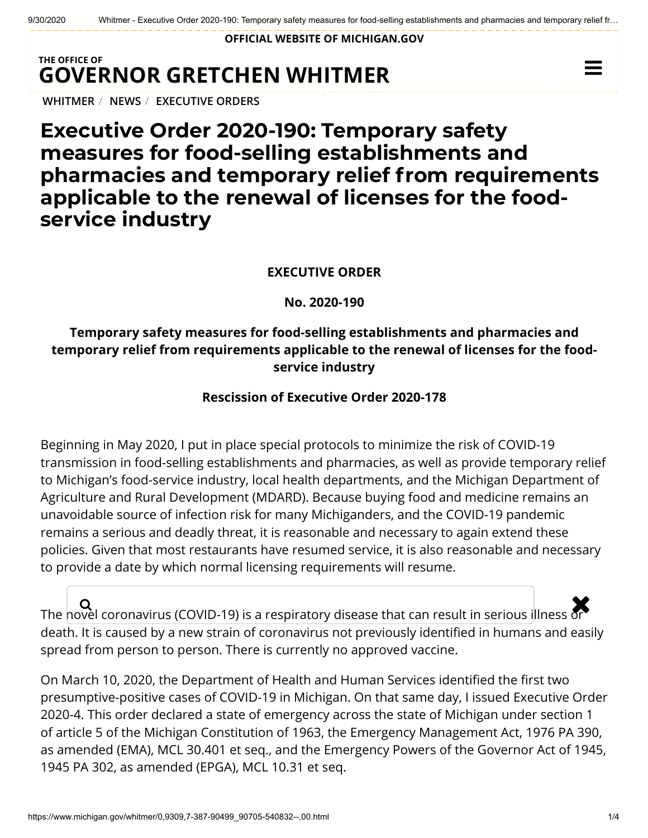**OFFICIAL WEBSITE OF [MICHIGAN.GOV](https://www.michigan.gov/)**

## **THE OFFICE OF GOVERNOR [GRETCHEN WHITMER](https://www.michigan.gov/whitmer/)**

**[WHITMER](https://www.michigan.gov/whitmer/)** / **[NEWS](https://www.michigan.gov/whitmer/0,9309,7-387-90499---,00.html)** / **[EXECUTIVE ORDERS](https://www.michigan.gov/whitmer/0,9309,7-387-90499_90705---,00.html)**

# **Executive Order 2020-190: Temporary safety measures for food-selling establishments and pharmacies and temporary relief from requirements applicable to the renewal of licenses for the foodservice industry**

#### **EXECUTIVE ORDER**

**No. 2020-190**

### **Temporary safety measures for food-selling establishments and pharmacies and temporary relief from requirements applicable to the renewal of licenses for the foodservice industry**

#### **Rescission of Executive Order 2020-178**

Beginning in May 2020, I put in place special protocols to minimize the risk of COVID-19 transmission in food-selling establishments and pharmacies, as well as provide temporary relief to Michigan's food-service industry, local health departments, and the Michigan Department of Agriculture and Rural Development (MDARD). Because buying food and medicine remains an unavoidable source of infection risk for many Michiganders, and the COVID-19 pandemic remains a serious and deadly threat, it is reasonable and necessary to again extend these policies. Given that most restaurants have resumed service, it is also reasonable and necessary to provide a date by which normal licensing requirements will resume.

 $\overline{\mathbf{Q}}$   $\overline{\mathbf{Q}}$  coronavirus (COVID-19) is a respiratory disease that can result in serious illness or death. It is caused by a new strain of coronavirus not previously identified in humans and easily spread from person to person. There is currently no approved vaccine.

On March 10, 2020, the Department of Health and Human Services identified the first two presumptive-positive cases of COVID-19 in Michigan. On that same day, I issued Executive Order 2020-4. This order declared a state of emergency across the state of Michigan under section 1 of article 5 of the Michigan Constitution of 1963, the Emergency Management Act, 1976 PA 390, as amended (EMA), MCL 30.401 et seq., and the Emergency Powers of the Governor Act of 1945, 1945 PA 302, as amended (EPGA), MCL 10.31 et seq.

 $\equiv$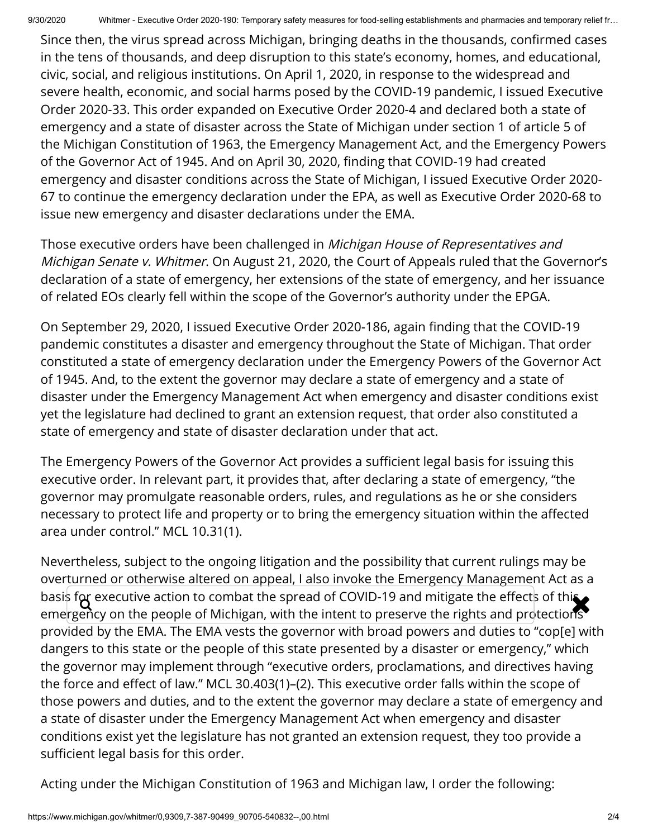Since then, the virus spread across Michigan, bringing deaths in the thousands, confirmed cases in the tens of thousands, and deep disruption to this state's economy, homes, and educational, civic, social, and religious institutions. On April 1, 2020, in response to the widespread and severe health, economic, and social harms posed by the COVID-19 pandemic, I issued Executive Order 2020-33. This order expanded on Executive Order 2020-4 and declared both a state of emergency and a state of disaster across the State of Michigan under section 1 of article 5 of the Michigan Constitution of 1963, the Emergency Management Act, and the Emergency Powers of the Governor Act of 1945. And on April 30, 2020, finding that COVID-19 had created emergency and disaster conditions across the State of Michigan, I issued Executive Order 2020- 67 to continue the emergency declaration under the EPA, as well as Executive Order 2020-68 to issue new emergency and disaster declarations under the EMA.

Those executive orders have been challenged in Michigan House of Representatives and Michigan Senate v. Whitmer. On August 21, 2020, the Court of Appeals ruled that the Governor's declaration of a state of emergency, her extensions of the state of emergency, and her issuance of related EOs clearly fell within the scope of the Governor's authority under the EPGA.

On September 29, 2020, I issued Executive Order 2020-186, again finding that the COVID-19 pandemic constitutes a disaster and emergency throughout the State of Michigan. That order constituted a state of emergency declaration under the Emergency Powers of the Governor Act of 1945. And, to the extent the governor may declare a state of emergency and a state of disaster under the Emergency Management Act when emergency and disaster conditions exist yet the legislature had declined to grant an extension request, that order also constituted a state of emergency and state of disaster declaration under that act.

The Emergency Powers of the Governor Act provides a sufficient legal basis for issuing this executive order. In relevant part, it provides that, after declaring a state of emergency, "the governor may promulgate reasonable orders, rules, and regulations as he or she considers necessary to protect life and property or to bring the emergency situation within the affected area under control." MCL 10.31(1).

Nevertheless, subject to the ongoing litigation and the possibility that current rulings may be overturned or otherwise altered on appeal, I also invoke the Emergency Management Act as a basis for executive action to combat the spread of COVID-19 and mitigate the effects of this  $\bullet$ <br>emergency on the neonle of Michigan, with the intent to preserve the rights and protections emergency on the people of Michigan, with the intent to preserve the rights and protections provided by the EMA. The EMA vests the governor with broad powers and duties to "cop[e] with dangers to this state or the people of this state presented by a disaster or emergency," which the governor may implement through "executive orders, proclamations, and directives having the force and effect of law." MCL 30.403(1)–(2). This executive order falls within the scope of those powers and duties, and to the extent the governor may declare a state of emergency and a state of disaster under the Emergency Management Act when emergency and disaster conditions exist yet the legislature has not granted an extension request, they too provide a sufficient legal basis for this order.

Acting under the Michigan Constitution of 1963 and Michigan law, I order the following: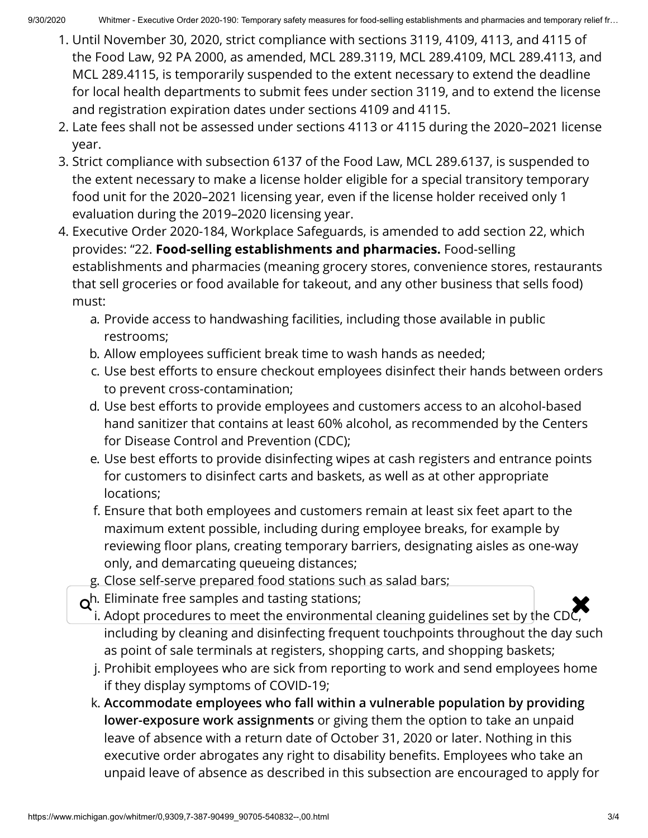- 1. Until November 30, 2020, strict compliance with sections 3119, 4109, 4113, and 4115 of the Food Law, 92 PA 2000, as amended, MCL 289.3119, MCL 289.4109, MCL 289.4113, and MCL 289.4115, is temporarily suspended to the extent necessary to extend the deadline for local health departments to submit fees under section 3119, and to extend the license and registration expiration dates under sections 4109 and 4115.
- 2. Late fees shall not be assessed under sections 4113 or 4115 during the 2020–2021 license year.
- 3. Strict compliance with subsection 6137 of the Food Law, MCL 289.6137, is suspended to the extent necessary to make a license holder eligible for a special transitory temporary food unit for the 2020–2021 licensing year, even if the license holder received only 1 evaluation during the 2019–2020 licensing year.
- 4. Executive Order 2020-184, Workplace Safeguards, is amended to add section 22, which provides: "22. **Food-selling establishments and pharmacies.** Food-selling establishments and pharmacies (meaning grocery stores, convenience stores, restaurants that sell groceries or food available for takeout, and any other business that sells food) must:
	- a. Provide access to handwashing facilities, including those available in public restrooms;
	- b. Allow employees sufficient break time to wash hands as needed;
	- c. Use best efforts to ensure checkout employees disinfect their hands between orders to prevent cross-contamination;
	- d. Use best efforts to provide employees and customers access to an alcohol-based hand sanitizer that contains at least 60% alcohol, as recommended by the Centers for Disease Control and Prevention (CDC);
	- e. Use best efforts to provide disinfecting wipes at cash registers and entrance points for customers to disinfect carts and baskets, as well as at other appropriate locations;
	- f. Ensure that both employees and customers remain at least six feet apart to the maximum extent possible, including during employee breaks, for example by reviewing floor plans, creating temporary barriers, designating aisles as one-way only, and demarcating queueing distances;
	- g. Close self-serve prepared food stations such as salad bars;
	- $o<sup>h.</sup>$  Eliminate free samples and tasting stations;
	- $\mathbf{Q}^{\:\!\! h.}$  Eliminate free samples and tasting stations;<br>i. Adopt procedures to meet the environmental cleaning guidelines set by the CDC, including by cleaning and disinfecting frequent touchpoints throughout the day such as point of sale terminals at registers, shopping carts, and shopping baskets;
		- j. Prohibit employees who are sick from reporting to work and send employees home if they display symptoms of COVID-19;
		- k. **Accommodate employees who fall within a vulnerable population by providing lower-exposure work assignments** or giving them the option to take an unpaid leave of absence with a return date of October 31, 2020 or later. Nothing in this executive order abrogates any right to disability benefits. Employees who take an unpaid leave of absence as described in this subsection are encouraged to apply for